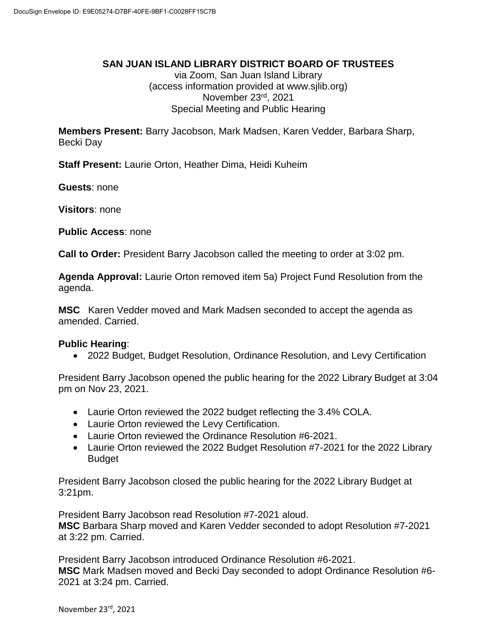## **SAN JUAN ISLAND LIBRARY DISTRICT BOARD OF TRUSTEES**

via Zoom, San Juan Island Library (access information provided at www.sjlib.org) November 23rd , 2021 Special Meeting and Public Hearing

**Members Present:** Barry Jacobson, Mark Madsen, Karen Vedder, Barbara Sharp, Becki Day

**Staff Present:** Laurie Orton, Heather Dima, Heidi Kuheim

**Guests**: none

**Visitors**: none

**Public Access**: none

**Call to Order:** President Barry Jacobson called the meeting to order at 3:02 pm.

**Agenda Approval:** Laurie Orton removed item 5a) Project Fund Resolution from the agenda.

**MSC** Karen Vedder moved and Mark Madsen seconded to accept the agenda as amended. Carried.

## **Public Hearing**:

2022 Budget, Budget Resolution, Ordinance Resolution, and Levy Certification

President Barry Jacobson opened the public hearing for the 2022 Library Budget at 3:04 pm on Nov 23, 2021.

- Laurie Orton reviewed the 2022 budget reflecting the 3.4% COLA.
- Laurie Orton reviewed the Levy Certification.
- Laurie Orton reviewed the Ordinance Resolution #6-2021.
- Laurie Orton reviewed the 2022 Budget Resolution #7-2021 for the 2022 Library Budget

President Barry Jacobson closed the public hearing for the 2022 Library Budget at 3:21pm.

President Barry Jacobson read Resolution #7-2021 aloud. **MSC** Barbara Sharp moved and Karen Vedder seconded to adopt Resolution #7-2021

at 3:22 pm. Carried.

President Barry Jacobson introduced Ordinance Resolution #6-2021. **MSC** Mark Madsen moved and Becki Day seconded to adopt Ordinance Resolution #6- 2021 at 3:24 pm. Carried.